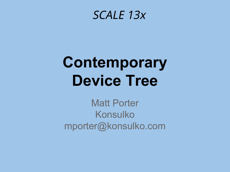#### SCALE 13x

# Contemporary Device Tree

Matt Porter Konsulko mporter@konsulko.com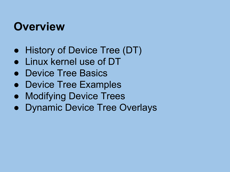### **Overview**

- History of Device Tree (DT)
- Linux kernel use of DT
- Device Tree Basics
- Device Tree Examples
- Modifying Device Trees
- Dynamic Device Tree Overlays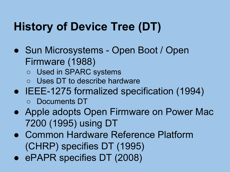# History of Device Tree (DT)

- Sun Microsystems Open Boot / Open Firmware (1988)
	- Used in SPARC systems
	- Uses DT to describe hardware
- IEEE-1275 formalized specification (1994) ○ Documents DT
- Apple adopts Open Firmware on Power Mac 7200 (1995) using DT
- Common Hardware Reference Platform (CHRP) specifies DT (1995)
- ePAPR specifies DT (2008)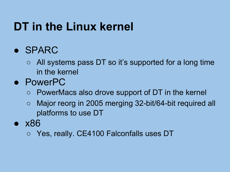### DT in the Linux kernel

#### ● SPARC

- All systems pass DT so it's supported for a long time in the kernel
- PowerPC
	- PowerMacs also drove support of DT in the kernel
	- Major reorg in 2005 merging 32-bit/64-bit required all platforms to use DT
- x86
	- Yes, really. CE4100 Falconfalls uses DT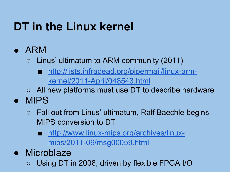# DT in the Linux kernel

- ARM
	- $\circ$  Linus' ultimatum to ARM community (2011)
		- [http://lists.infradead.org/pipermail/linux-arm](http://lists.infradead.org/pipermail/linux-arm-kernel/2011-April/048543.html)[kernel/2011-April/048543.html](http://lists.infradead.org/pipermail/linux-arm-kernel/2011-April/048543.html)
	- All new platforms must use DT to describe hardware
- MIPS
	- Fall out from Linus' ultimatum, Ralf Baechle begins MIPS conversion to DT
		- [http://www.linux-mips.org/archives/linux](http://www.linux-mips.org/archives/linux-mips/2011-06/msg00059.html)[mips/2011-06/msg00059.html](http://www.linux-mips.org/archives/linux-mips/2011-06/msg00059.html)
- Microblaze
	- Using DT in 2008, driven by flexible FPGA I/O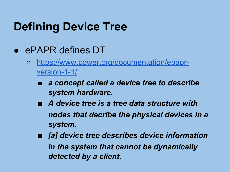# Defining Device Tree

- ePAPR defines DT
	- [https://www.power.org/documentation/epapr](https://www.power.org/documentation/epapr-version-1-1/)[version-1-1/](https://www.power.org/documentation/epapr-version-1-1/)
		- a concept called a device tree to describe system hardware.
		- A device tree is a tree data structure with nodes that decribe the physical devices in a system.
		- [a] device tree describes device information in the system that cannot be dynamically detected by a client.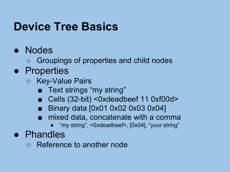#### Device Tree Basics

#### ● Nodes

○ Groupings of properties and child nodes

#### ● Properties

- Key-Value Pairs
	- Text strings "my string"
	- Cells (32-bit) <0xdeadbeef 11 0xf00d>
	- Binary data [0x01 0x02 0x03 0x04]
	- mixed data, concatenate with a comma
		- "my string", <0xdeadbeef>, [0x04], "your string"

#### ● Phandles

○ Reference to another node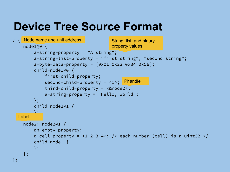### Device Tree Source Format

```
/ {
Node name and unit address
     node1@0 {
         a-string-property = "A string";
         a-string-list-property = "first string", "second string";
        a-byte-data-preoperty = [0x01 0x23 0x34 0x56]; child-node1@0 {
             first-child-property;
 second-child-property = <1>;
Phandle
             third-child-property = <&node2>;
             a-string-property = "Hello, world";
         };
         child-node2@1 {
\frac{1}{2} };
Label node2: node2@1 {
         an-empty-property;
        a-cell-property = <1 2 3 4>; /* each number (cell) is a uint32 */ child-node1 {
         };
     };
};
                                       String, list, and binary 
                                       property values
```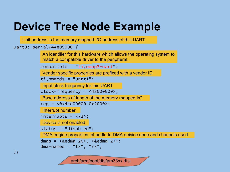## Device Tree Node Example

Unit address is the memory mapped I/O address of this UART

```
uart0: serial@44e09000 {
```
An identifier for this hardware which allows the operating system to match a compatible driver to the peripheral.

```
 compatible = "ti,omap3-uart";
```
Vendor specific properties are prefixed with a vendor ID

```
 ti,hwmods = "uart1";
```
Input clock frequency for this UART

```
 clock-frequency = <48000000>;
```
Base address of length of the memory mapped I/O

```
 reg = <0x44e09000 0x2000>;
```
Interrupt number

interrupts = <72>;

Device is not enabled

```
 status = "disabled";
```
DMA engine properties, phandle to DMA deivice node and channels used

```
 dmas = <&edma 26>, <&edma 27>;
dma-names = "tx", "rx";
```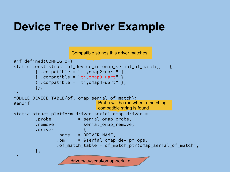### Device Tree Driver Example

Compatible strings this driver matches

```
#if defined(CONFIG_OF)
static const struct of_device_id omap_serial_of_match[] = {
        \{ .compatible = "ti,omap2-uart" \},\{ .compatible = "ti,omap3-uart" \},\{ .compatible = "ti,omap4-uart" \}, {},
};
MODULE DEVICE TABLE(of, omap serial of match);
#endif
static struct platform driver serial omap driver = {
         .probe = serial_omap_probe,
        .remove = serial omap remove,
        \det . driver = {
                 .name = DRIVER_NAME,
                 .pm = &serial_omap_dev_pm_ops,
                .of match table = of match ptr(omap serial of match),
         },
};
                                Probe will be run when a matching 
                                compatible string is found
                      drivers/tty/serial/omap-serial.c
```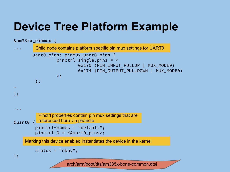# Device Tree Platform Example

```
&am33xx_pinmux {
...
         uart0_pins: pinmux_uart0_pins {
                     pinctrl-single,pins = <
                               0x170 (PIN_INPUT_PULLUP | MUX_MODE0)
                              0x174 (PIN OUTPUT PULLDOWN | MUX MODE0)
\rightarrow ; and \rightarrow ; and \rightarrow ;
           };
…
};
...
&uart0 {
           pinctrl-names = "default";
           pinctrl-0 = <&uart0_pins>;
           status = "okay";
};
     Marking this device enabled instantiates the device in the kernel
           Pinctrl properties contain pin mux settings that are 
           referenced here via phandle
          Child node contains platform specific pin mux settings for UART0
                         arch/arm/boot/dts/am335x-bone-common.dtsi
```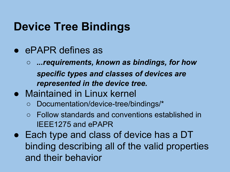### Device Tree Bindings

- ePAPR defines as
	- …requirements, known as bindings, for how specific types and classes of devices are represented in the device tree.
- Maintained in Linux kernel
	- Documentation/device-tree/bindings/\*
	- Follow standards and conventions established in IEEE1275 and ePAPR
- Each type and class of device has a DT binding describing all of the valid properties and their behavior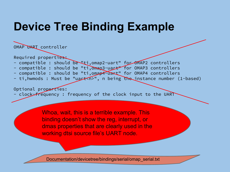### Device Tree Binding Example

OMAP UART controller

Required properties:

- compatible : should be "ti, omap2-uart" for OMAP2 controllers
- compatible : should be "ti, omap3-uart" for OMAP3 controllers
- compatible : should be "ti,omap4-uart" for OMAP4 controllers
- ti, hwmods : Must be "uart (n)", n being the instance number (1-based)

Optional properties: clock-frequency: frequency of the clock input to the UART

> Whoa, wait, this is a terrible example. This binding doesn't show the reg, interrupt, or dmas properties that are clearly used in the working dtsi source file's UART node.

Documentation/devicetree/bindings/serial/omap\_serial.txt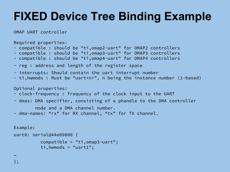# FIXED Device Tree Binding Example

OMAP UART controller

Required properties:

- compatible : should be "ti,omap2-uart" for OMAP2 controllers
- compatible : should be "ti,omap3-uart" for OMAP3 controllers
- compatible : should be "ti,omap4-uart" for OMAP4 controllers
- reg : address and length of the register space
- interrupts: Should contain the uart interrupt number
- ti,hwmods : Must be "uart<n>", n being the instance number (1-based)

```
Optional properties:
```
- clock-frequency : frequency of the clock input to the UART
- dmas: DMA specifier, consisting of a phandle to the DMA controller

```
 node and a DMA channel number.
```
- dma-names: "rx" for RX channel, "tx" for TX channel.

```
Example:
uart0: serial@44e09000 {
           compatible = "ti,omap3-uart";
           ti,hwmods = "uart1";
```
… };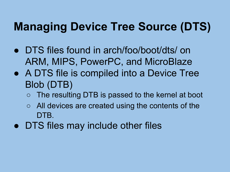# Managing Device Tree Source (DTS)

- DTS files found in arch/foo/boot/dts/ on ARM, MIPS, PowerPC, and MicroBlaze
- A DTS file is compiled into a Device Tree Blob (DTB)
	- The resulting DTB is passed to the kernel at boot
	- All devices are created using the contents of the DTB.
- DTS files may include other files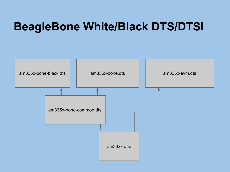#### BeagleBone White/Black DTS/DTSI

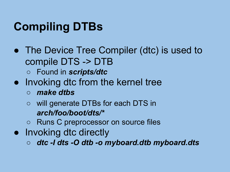# Compiling DTBs

- The Device Tree Compiler (dtc) is used to compile DTS -> DTB
	- Found in scripts/dtc
- Invoking dtc from the kernel tree
	- make dtbs
	- will generate DTBs for each DTS in arch/foo/boot/dts/\*
	- Runs C preprocessor on source files
- Invoking dtc directly
	- dtc -I dts -O dtb -o myboard.dtb myboard.dts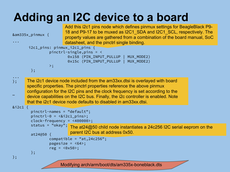# Adding an I2C device to a board

| &am335x_pinmux {                                 |                                                                                                                                                                                                                                                                                                                                                                                                                                                                                                              | Add this i2c1 pins node which defines pinmux settings for BeagleBlack P9-<br>18 and P9-17 to be muxed as I2C1_SDA and I2C1_SCL, respectively. The<br>property values are gathered from a combination of the board manual, SoC<br>datasheet, and the pinctrl single binding. |  |
|--------------------------------------------------|--------------------------------------------------------------------------------------------------------------------------------------------------------------------------------------------------------------------------------------------------------------------------------------------------------------------------------------------------------------------------------------------------------------------------------------------------------------------------------------------------------------|-----------------------------------------------------------------------------------------------------------------------------------------------------------------------------------------------------------------------------------------------------------------------------|--|
| $i2c1$ pins: pinmux $i2c1$ pins {                |                                                                                                                                                                                                                                                                                                                                                                                                                                                                                                              |                                                                                                                                                                                                                                                                             |  |
| $pinctrl-single, pins = <$                       |                                                                                                                                                                                                                                                                                                                                                                                                                                                                                                              |                                                                                                                                                                                                                                                                             |  |
|                                                  |                                                                                                                                                                                                                                                                                                                                                                                                                                                                                                              | MUX_MODE2)<br>0x158 (PIN_INPUT_PULLUP  <br>0x15c (PIN_INPUT_PULLUP  <br>MUX_MODE2)                                                                                                                                                                                          |  |
|                                                  | $\mathbf{p}$ ;                                                                                                                                                                                                                                                                                                                                                                                                                                                                                               |                                                                                                                                                                                                                                                                             |  |
|                                                  | $};$                                                                                                                                                                                                                                                                                                                                                                                                                                                                                                         |                                                                                                                                                                                                                                                                             |  |
| $\}$ ;<br>$&$ i2c1 {                             | The i2c1 device node included from the am33xx dtsi is overlayed with board<br>specific properties. The pinctrl properties reference the above pinmux<br>configuration for the I2C pins and the clock frequency is set according to the<br>device capabilities on the I2C bus. Finally, the i2c controller is enabled. Note<br>that the i2c1 device node defaults to disabled in am33xx.dtsi.<br>pinctrl-names = "default";<br>$pinctrl-0 = \langle & i2cl\_pins \rangle$ ;<br>$clock-frequency = <400000>$ ; |                                                                                                                                                                                                                                                                             |  |
|                                                  | status = "okay";                                                                                                                                                                                                                                                                                                                                                                                                                                                                                             | The at24@50 child node instantiates a 24c256 I2C serial eeprom on the                                                                                                                                                                                                       |  |
|                                                  | $at24@50$ {                                                                                                                                                                                                                                                                                                                                                                                                                                                                                                  | parent I2C bus at address 0x50.                                                                                                                                                                                                                                             |  |
|                                                  |                                                                                                                                                                                                                                                                                                                                                                                                                                                                                                              | compatible = $"at, 24c256"$ ;<br>pagesize = $<64$ ;<br>$reg = <0x50$ ;                                                                                                                                                                                                      |  |
|                                                  | $};$                                                                                                                                                                                                                                                                                                                                                                                                                                                                                                         |                                                                                                                                                                                                                                                                             |  |
| $\}$ ;                                           |                                                                                                                                                                                                                                                                                                                                                                                                                                                                                                              |                                                                                                                                                                                                                                                                             |  |
| Modifying arch/arm/boot/dts/am335x-boneblack.dts |                                                                                                                                                                                                                                                                                                                                                                                                                                                                                                              |                                                                                                                                                                                                                                                                             |  |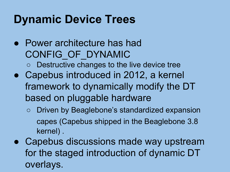### Dynamic Device Trees

- Power architecture has had CONFIG\_OF\_DYNAMIC Destructive changes to the live device tree ● Capebus introduced in 2012, a kernel framework to dynamically modify the DT
	- based on pluggable hardware
		- Driven by Beaglebone's standardized expansion capes (Capebus shipped in the Beaglebone 3.8 kernel) .
- Capebus discussions made way upstream for the staged introduction of dynamic DT overlays.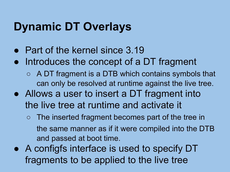# Dynamic DT Overlays

- Part of the kernel since 3.19
- Introduces the concept of a DT fragment
	- $\circ$  A DT fragment is a DTB which contains symbols that can only be resolved at runtime against the live tree.
- Allows a user to insert a DT fragment into the live tree at runtime and activate it
	- The inserted fragment becomes part of the tree in the same manner as if it were compiled into the DTB and passed at boot time.
- A configfs interface is used to specify DT fragments to be applied to the live tree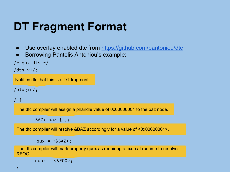## DT Fragment Format

- Use overlay enabled dtc from <https://github.com/pantoniou/dtc>
- Borrowing Pantelis Antoniou's example:

```
/* qux.dts */
```

```
/dts-v1/;
```
Notifies dtc that this is a DT fragment.

/plugin/;

```
/ {
```
The dtc compiler will assign a phandle value of 0x00000001 to the baz node.

BAZ: baz  $\{\}$ ;

The dtc compiler will resolve &BAZ accordingly for a value of <0x00000001>.

 $qux = \langle \&BAZ \rangle$ ;

The dtc compiler will mark property quux as requiring a fixup at runtime to resolve &FOO.

quux =  $\langle \&$ FOO>;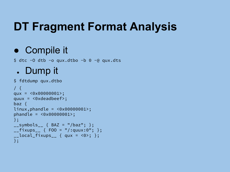# DT Fragment Format Analysis

#### ● Compile it

 $$$  dtc -0 dtb -o qux.dtbo -b 0 -@ qux.dts

#### • Dump it

```
$ fdtdump qux.dtbo
/ {
qux = <0x00000001>;
quux = <0xdeadbeef>;
baz {
linux, phandle = <math display="inline">&lt; 0 \times 000000001</math>phandle = <0x00000001>;
};
_{--}symbols_{--} { BAZ = "/baz"; };
_{-}fixups<sub>--</sub> { FOO = "/:quux:0"; };
\text{\_}local_fixups_\text{\_} { qux = <0>; };
};
```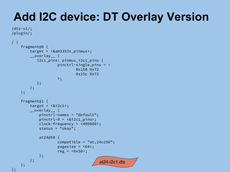# Add I2C device: DT Overlay Version

```
/dts-v1/;
/plugin/;
```

```
/ {
          fragment@0 {
                   target = \langle \text{Aam3353x} \rangle pinmux>;
                    __overlay__ {
                           i2c1_pins: pinmux_i2c1_pins {
                                                pinctrl-single,pins = <
                                                                   0x158 0x72
                                                                   0x15c 0x72
\rightarrow; \rightarrow; \rightarrow; \rightarrow; \rightarrow; \rightarrow; \rightarrow; \rightarrow; \rightarrow; \rightarrow; \rightarrow; \rightarrow; \rightarrow; \rightarrow; \rightarrow; \rightarrow; \rightarrow; \rightarrow; \rightarrow; \rightarrow; \rightarrow; \rightarrow; \rightarrow; \rightarrow; \rightarrow; \rightarrow; \rightarrow; \rightarrow; \rightarrow; \rightarrow; \rightarrow; \rightarrow; \rightarrow; \rightarrow; \rightarrow; \rightarrow; \rightarrow;
                          };
                    };
          };
          fragment@1 {
                   target = < < 2c1;
                    __overlay__ {
                             pinctrl-names = "default";
                             pinctrl-0 = <&i2c1_pins>;
                             clock-frequency = <400000>;
                             status = "okay";
                             at24@50 {
                                               compatible = "at,24c256";
                                                pagesize = <64>;
                                               reg = <0x50;
                             };
                    };
          };
};
                                                                                           at24-i2c1.dts
```